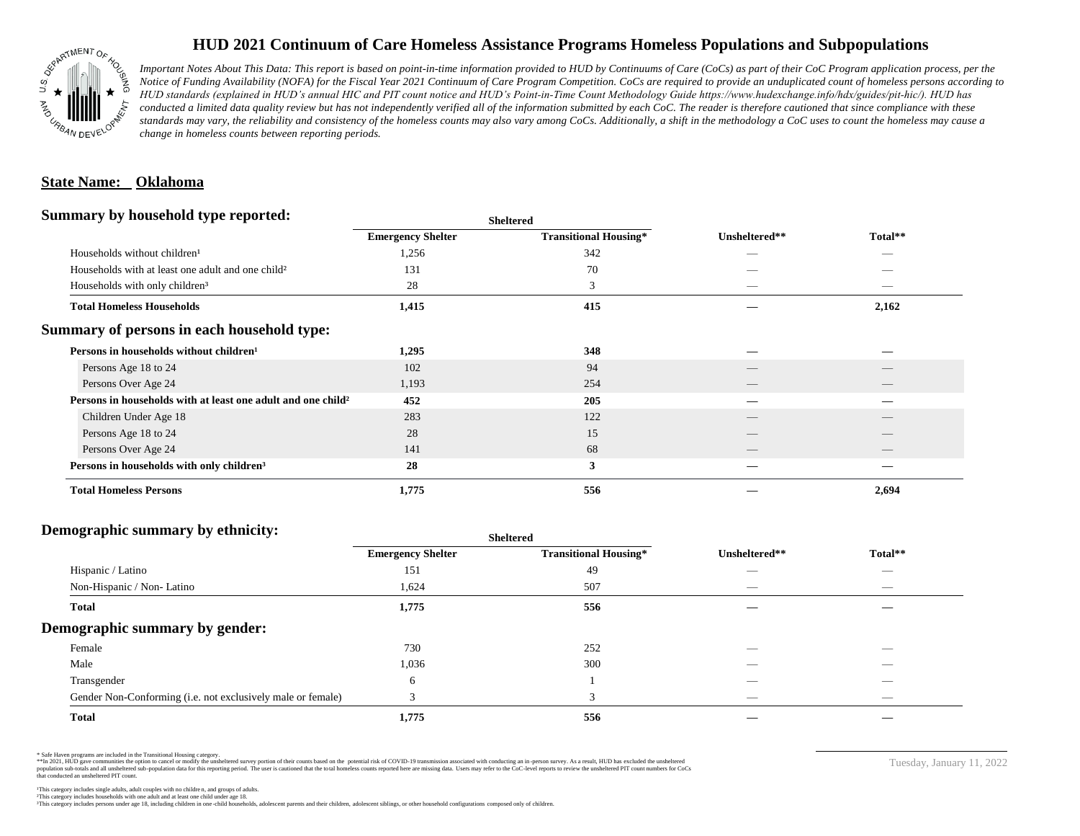

## **HUD 2021 Continuum of Care Homeless Assistance Programs Homeless Populations and Subpopulations**

*Important Notes About This Data: This report is based on point-in-time information provided to HUD by Continuums of Care (CoCs) as part of their CoC Program application process, per the Notice of Funding Availability (NOFA) for the Fiscal Year 2021 Continuum of Care Program Competition. CoCs are required to provide an unduplicated count of homeless persons according to HUD standards (explained in HUD's annual HIC and PIT count notice and HUD's Point-in-Time Count Methodology Guide https://www.hudexchange.info/hdx/guides/pit-hic/). HUD has*  conducted a limited data quality review but has not independently verified all of the information submitted by each CoC. The reader is therefore cautioned that since compliance with these standards may vary, the reliability and consistency of the homeless counts may also vary among CoCs. Additionally, a shift in the methodology a CoC uses to count the homeless may cause a *change in homeless counts between reporting periods.*

#### **State Name: Oklahoma**

#### **Summary by household type reported:**

|                                                                          | patter                   |                              |               |         |  |
|--------------------------------------------------------------------------|--------------------------|------------------------------|---------------|---------|--|
|                                                                          | <b>Emergency Shelter</b> | <b>Transitional Housing*</b> | Unsheltered** | Total** |  |
| Households without children <sup>1</sup>                                 | 1,256                    | 342                          |               | _       |  |
| Households with at least one adult and one child <sup>2</sup>            | 131                      | 70                           |               |         |  |
| Households with only children <sup>3</sup>                               | 28                       | 3                            |               |         |  |
| <b>Total Homeless Households</b>                                         | 1,415                    | 415                          |               | 2,162   |  |
| Summary of persons in each household type:                               |                          |                              |               |         |  |
| Persons in households without children <sup>1</sup>                      | 1,295                    | 348                          |               |         |  |
| Persons Age 18 to 24                                                     | 102                      | 94                           |               |         |  |
| Persons Over Age 24                                                      | 1,193                    | 254                          | __            | $-$     |  |
| Persons in households with at least one adult and one child <sup>2</sup> | 452                      | 205                          |               |         |  |
| Children Under Age 18                                                    | 283                      | 122                          |               |         |  |
| Persons Age 18 to 24                                                     | 28                       | 15                           |               |         |  |
| Persons Over Age 24                                                      | 141                      | 68                           |               |         |  |
| Persons in households with only children <sup>3</sup>                    | 28                       | 3                            |               |         |  |
| <b>Total Homeless Persons</b>                                            | 1,775                    | 556                          |               | 2,694   |  |
|                                                                          |                          |                              |               |         |  |

**Sheltered**

### **Demographic summary by ethnicity:**

|                                                             | <b>Sheltered</b>         |                              |                          |                          |  |
|-------------------------------------------------------------|--------------------------|------------------------------|--------------------------|--------------------------|--|
|                                                             | <b>Emergency Shelter</b> | <b>Transitional Housing*</b> | Unsheltered**            | Total**                  |  |
| Hispanic / Latino                                           | 151                      | 49                           |                          | $\overline{\phantom{a}}$ |  |
| Non-Hispanic / Non-Latino                                   | 1,624                    | 507                          | __                       | $\overline{\phantom{a}}$ |  |
| <b>Total</b>                                                | 1,775                    | 556                          |                          |                          |  |
| Demographic summary by gender:                              |                          |                              |                          |                          |  |
| Female                                                      | 730                      | 252                          | _                        | _                        |  |
| Male                                                        | 1,036                    | 300                          |                          |                          |  |
| Transgender                                                 | 6                        |                              |                          |                          |  |
| Gender Non-Conforming (i.e. not exclusively male or female) |                          | 3                            | $\overline{\phantom{a}}$ | $\overline{\phantom{a}}$ |  |
| <b>Total</b>                                                | 1,775                    | 556                          |                          |                          |  |

\* Safe Haven programs are included in the Transitional Housing category.

\*\*In 2021, HUD gave communities the option to cancel or modify the unsheltered survey portion of their counts based on the potential risk of COVID-19 transmission associated with conducting an in-person survey. As a result n political data for this reporting period. The user is cautioned that the total homeless counts reported here are missing data. Users may refer to the CoC-level reports to review the unshellered PIT count numbers for CoCs that conducted an unsheltered PIT count.

Tuesday, January 11, 2022

²This category includes households with one adult and at least one child under age 18. This category includes persons under age 18, including children in one -child households, adolescent parents and their children, adolescent siblings, or other household configurations composed only of children.